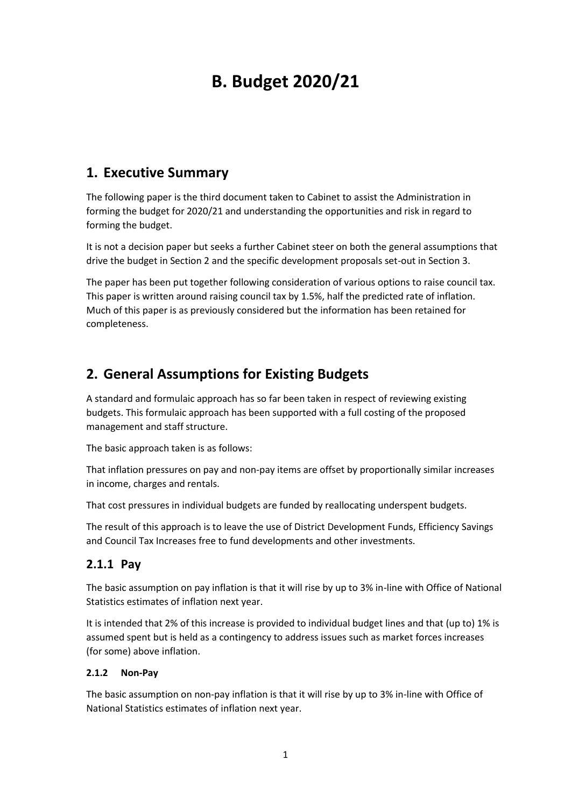# **B. Budget 2020/21**

# **1. Executive Summary**

The following paper is the third document taken to Cabinet to assist the Administration in forming the budget for 2020/21 and understanding the opportunities and risk in regard to forming the budget.

It is not a decision paper but seeks a further Cabinet steer on both the general assumptions that drive the budget in Section 2 and the specific development proposals set-out in Section 3.

The paper has been put together following consideration of various options to raise council tax. This paper is written around raising council tax by 1.5%, half the predicted rate of inflation. Much of this paper is as previously considered but the information has been retained for completeness.

# **2. General Assumptions for Existing Budgets**

A standard and formulaic approach has so far been taken in respect of reviewing existing budgets. This formulaic approach has been supported with a full costing of the proposed management and staff structure.

The basic approach taken is as follows:

That inflation pressures on pay and non-pay items are offset by proportionally similar increases in income, charges and rentals.

That cost pressures in individual budgets are funded by reallocating underspent budgets.

The result of this approach is to leave the use of District Development Funds, Efficiency Savings and Council Tax Increases free to fund developments and other investments.

### **2.1.1 Pay**

The basic assumption on pay inflation is that it will rise by up to 3% in-line with Office of National Statistics estimates of inflation next year.

It is intended that 2% of this increase is provided to individual budget lines and that (up to) 1% is assumed spent but is held as a contingency to address issues such as market forces increases (for some) above inflation.

#### **2.1.2 Non-Pay**

The basic assumption on non-pay inflation is that it will rise by up to 3% in-line with Office of National Statistics estimates of inflation next year.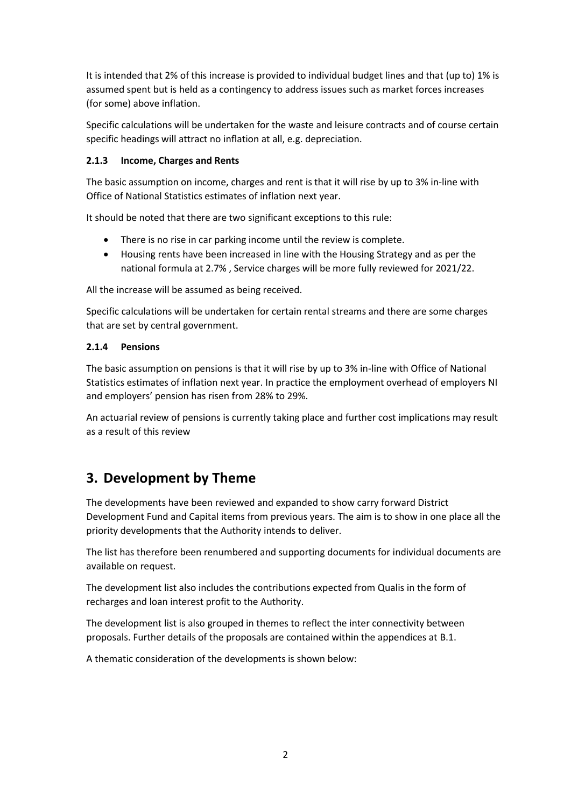It is intended that 2% of this increase is provided to individual budget lines and that (up to) 1% is assumed spent but is held as a contingency to address issues such as market forces increases (for some) above inflation.

Specific calculations will be undertaken for the waste and leisure contracts and of course certain specific headings will attract no inflation at all, e.g. depreciation.

#### **2.1.3 Income, Charges and Rents**

The basic assumption on income, charges and rent is that it will rise by up to 3% in-line with Office of National Statistics estimates of inflation next year.

It should be noted that there are two significant exceptions to this rule:

- There is no rise in car parking income until the review is complete.
- Housing rents have been increased in line with the Housing Strategy and as per the national formula at 2.7% , Service charges will be more fully reviewed for 2021/22.

All the increase will be assumed as being received.

Specific calculations will be undertaken for certain rental streams and there are some charges that are set by central government.

#### **2.1.4 Pensions**

The basic assumption on pensions is that it will rise by up to 3% in-line with Office of National Statistics estimates of inflation next year. In practice the employment overhead of employers NI and employers' pension has risen from 28% to 29%.

An actuarial review of pensions is currently taking place and further cost implications may result as a result of this review

# **3. Development by Theme**

The developments have been reviewed and expanded to show carry forward District Development Fund and Capital items from previous years. The aim is to show in one place all the priority developments that the Authority intends to deliver.

The list has therefore been renumbered and supporting documents for individual documents are available on request.

The development list also includes the contributions expected from Qualis in the form of recharges and loan interest profit to the Authority.

The development list is also grouped in themes to reflect the inter connectivity between proposals. Further details of the proposals are contained within the appendices at B.1.

A thematic consideration of the developments is shown below: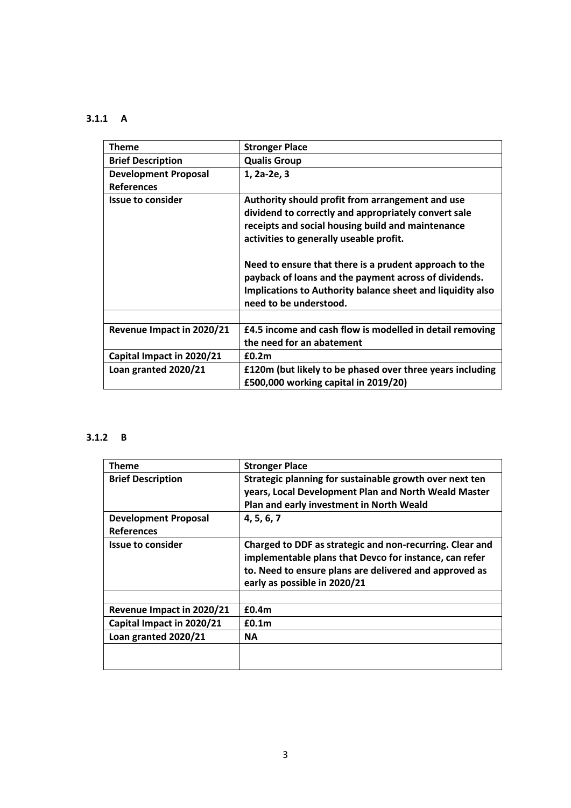# **3.1.1 A**

| <b>Theme</b>                | <b>Stronger Place</b>                                      |
|-----------------------------|------------------------------------------------------------|
| <b>Brief Description</b>    | <b>Qualis Group</b>                                        |
| <b>Development Proposal</b> | 1, 2a-2e, 3                                                |
| <b>References</b>           |                                                            |
| <b>Issue to consider</b>    | Authority should profit from arrangement and use           |
|                             | dividend to correctly and appropriately convert sale       |
|                             | receipts and social housing build and maintenance          |
|                             | activities to generally useable profit.                    |
|                             |                                                            |
|                             | Need to ensure that there is a prudent approach to the     |
|                             | payback of loans and the payment across of dividends.      |
|                             | Implications to Authority balance sheet and liquidity also |
|                             | need to be understood.                                     |
|                             |                                                            |
| Revenue Impact in 2020/21   | £4.5 income and cash flow is modelled in detail removing   |
|                             | the need for an abatement                                  |
| Capital Impact in 2020/21   | £0.2m                                                      |
| Loan granted 2020/21        | £120m (but likely to be phased over three years including  |
|                             | £500,000 working capital in 2019/20)                       |

# **3.1.2 B**

| <b>Theme</b>                                     | <b>Stronger Place</b>                                                                                                                                                                                        |
|--------------------------------------------------|--------------------------------------------------------------------------------------------------------------------------------------------------------------------------------------------------------------|
| <b>Brief Description</b>                         | Strategic planning for sustainable growth over next ten<br>years, Local Development Plan and North Weald Master<br>Plan and early investment in North Weald                                                  |
| <b>Development Proposal</b><br><b>References</b> | 4, 5, 6, 7                                                                                                                                                                                                   |
| <b>Issue to consider</b>                         | Charged to DDF as strategic and non-recurring. Clear and<br>implementable plans that Devco for instance, can refer<br>to. Need to ensure plans are delivered and approved as<br>early as possible in 2020/21 |
|                                                  |                                                                                                                                                                                                              |
| Revenue Impact in 2020/21                        | £0.4 <sub>m</sub>                                                                                                                                                                                            |
| Capital Impact in 2020/21                        | £0.1 <sub>m</sub>                                                                                                                                                                                            |
| Loan granted 2020/21                             | ΝA                                                                                                                                                                                                           |
|                                                  |                                                                                                                                                                                                              |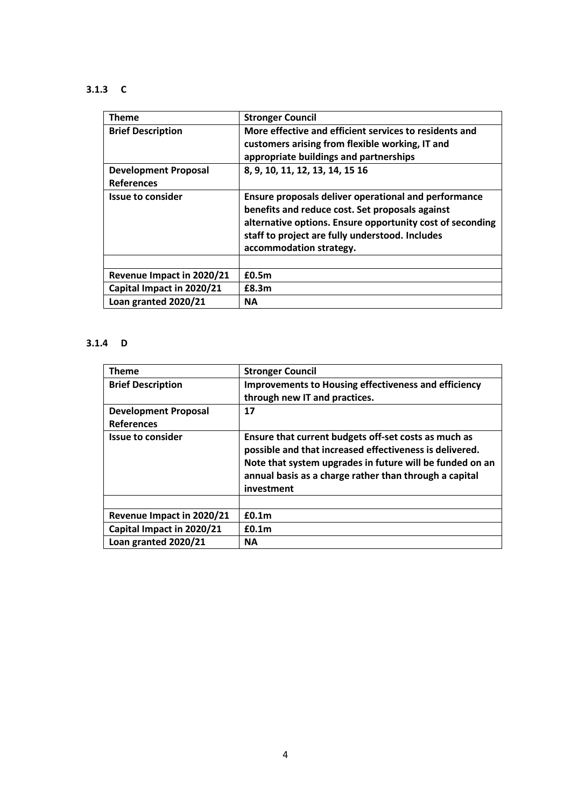### **3.1.3 C**

| Theme                       | <b>Stronger Council</b>                                                                                                                                                                                                                            |
|-----------------------------|----------------------------------------------------------------------------------------------------------------------------------------------------------------------------------------------------------------------------------------------------|
| <b>Brief Description</b>    | More effective and efficient services to residents and<br>customers arising from flexible working, IT and<br>appropriate buildings and partnerships                                                                                                |
| <b>Development Proposal</b> | 8, 9, 10, 11, 12, 13, 14, 15 16                                                                                                                                                                                                                    |
| <b>References</b>           |                                                                                                                                                                                                                                                    |
| <b>Issue to consider</b>    | Ensure proposals deliver operational and performance<br>benefits and reduce cost. Set proposals against<br>alternative options. Ensure opportunity cost of seconding<br>staff to project are fully understood. Includes<br>accommodation strategy. |
|                             |                                                                                                                                                                                                                                                    |
| Revenue Impact in 2020/21   | £0.5m                                                                                                                                                                                                                                              |
| Capital Impact in 2020/21   | £8.3m                                                                                                                                                                                                                                              |
| Loan granted 2020/21        | ΝA                                                                                                                                                                                                                                                 |

# **3.1.4 D**

| <b>Theme</b>                | <b>Stronger Council</b>                                                                                                                                                                                                                             |
|-----------------------------|-----------------------------------------------------------------------------------------------------------------------------------------------------------------------------------------------------------------------------------------------------|
| <b>Brief Description</b>    | <b>Improvements to Housing effectiveness and efficiency</b>                                                                                                                                                                                         |
|                             | through new IT and practices.                                                                                                                                                                                                                       |
| <b>Development Proposal</b> | 17                                                                                                                                                                                                                                                  |
| <b>References</b>           |                                                                                                                                                                                                                                                     |
| <b>Issue to consider</b>    | Ensure that current budgets off-set costs as much as<br>possible and that increased effectiveness is delivered.<br>Note that system upgrades in future will be funded on an<br>annual basis as a charge rather than through a capital<br>investment |
|                             |                                                                                                                                                                                                                                                     |
| Revenue Impact in 2020/21   | £0.1 <sub>m</sub>                                                                                                                                                                                                                                   |
| Capital Impact in 2020/21   | £0.1 <sub>m</sub>                                                                                                                                                                                                                                   |
| Loan granted 2020/21        | <b>NA</b>                                                                                                                                                                                                                                           |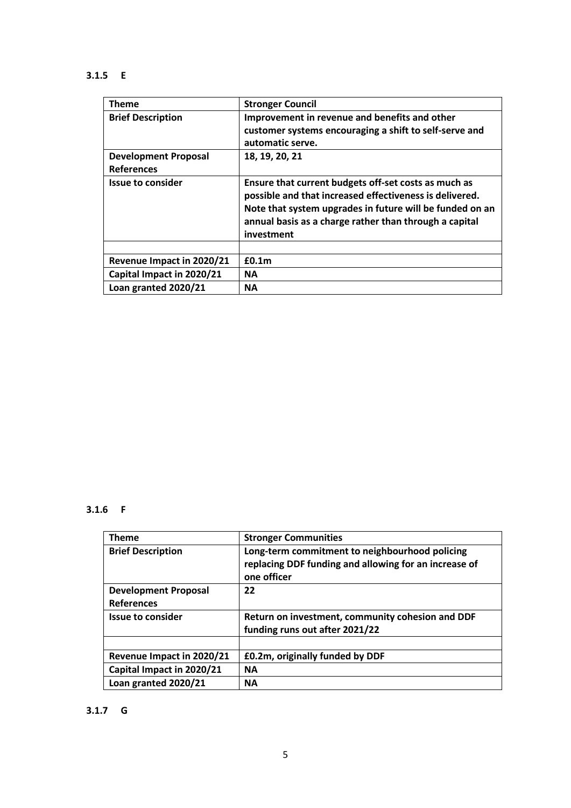# **3.1.5 E**

| <b>Theme</b>                | <b>Stronger Council</b>                                                                                                                                                                                                                             |
|-----------------------------|-----------------------------------------------------------------------------------------------------------------------------------------------------------------------------------------------------------------------------------------------------|
| <b>Brief Description</b>    | Improvement in revenue and benefits and other<br>customer systems encouraging a shift to self-serve and<br>automatic serve.                                                                                                                         |
| <b>Development Proposal</b> | 18, 19, 20, 21                                                                                                                                                                                                                                      |
| <b>References</b>           |                                                                                                                                                                                                                                                     |
| <b>Issue to consider</b>    | Ensure that current budgets off-set costs as much as<br>possible and that increased effectiveness is delivered.<br>Note that system upgrades in future will be funded on an<br>annual basis as a charge rather than through a capital<br>investment |
|                             |                                                                                                                                                                                                                                                     |
| Revenue Impact in 2020/21   | £0.1 <sub>m</sub>                                                                                                                                                                                                                                   |
| Capital Impact in 2020/21   | <b>NA</b>                                                                                                                                                                                                                                           |
| Loan granted 2020/21        | <b>NA</b>                                                                                                                                                                                                                                           |

#### **3.1.6 F**

| <b>Theme</b>                | <b>Stronger Communities</b>                                                                                            |
|-----------------------------|------------------------------------------------------------------------------------------------------------------------|
| <b>Brief Description</b>    | Long-term commitment to neighbourhood policing<br>replacing DDF funding and allowing for an increase of<br>one officer |
| <b>Development Proposal</b> | 22                                                                                                                     |
| <b>References</b>           |                                                                                                                        |
| <b>Issue to consider</b>    | Return on investment, community cohesion and DDF                                                                       |
|                             | funding runs out after 2021/22                                                                                         |
|                             |                                                                                                                        |
| Revenue Impact in 2020/21   | £0.2m, originally funded by DDF                                                                                        |
| Capital Impact in 2020/21   | <b>NA</b>                                                                                                              |
| Loan granted 2020/21        | <b>NA</b>                                                                                                              |

### **3.1.7 G**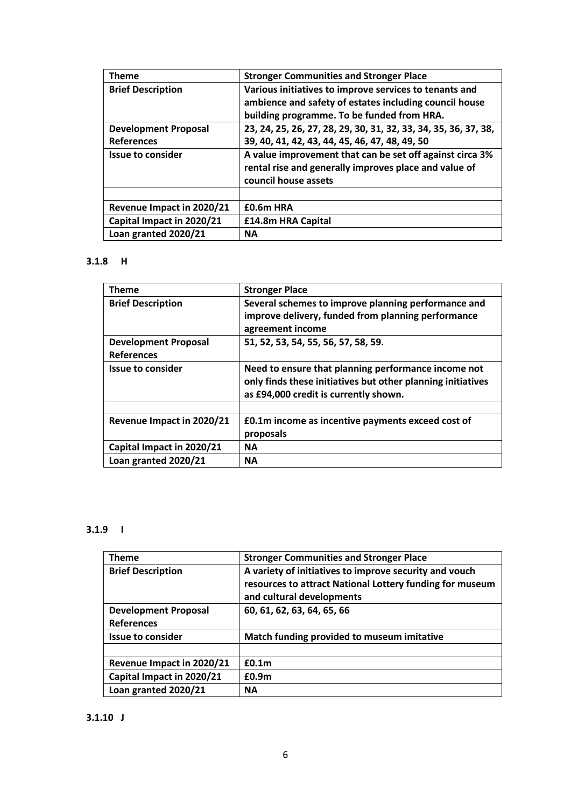| Theme                       | <b>Stronger Communities and Stronger Place</b>                                                                                            |
|-----------------------------|-------------------------------------------------------------------------------------------------------------------------------------------|
| <b>Brief Description</b>    | Various initiatives to improve services to tenants and                                                                                    |
|                             | ambience and safety of estates including council house                                                                                    |
|                             | building programme. To be funded from HRA.                                                                                                |
| <b>Development Proposal</b> | 23, 24, 25, 26, 27, 28, 29, 30, 31, 32, 33, 34, 35, 36, 37, 38,                                                                           |
| <b>References</b>           | 39, 40, 41, 42, 43, 44, 45, 46, 47, 48, 49, 50                                                                                            |
| <b>Issue to consider</b>    | A value improvement that can be set off against circa 3%<br>rental rise and generally improves place and value of<br>council house assets |
|                             |                                                                                                                                           |
| Revenue Impact in 2020/21   | £0.6m HRA                                                                                                                                 |
| Capital Impact in 2020/21   | £14.8m HRA Capital                                                                                                                        |
| Loan granted 2020/21        | <b>NA</b>                                                                                                                                 |

#### **3.1.8 H**

| <b>Theme</b>                                     | <b>Stronger Place</b>                                                                                                                                       |
|--------------------------------------------------|-------------------------------------------------------------------------------------------------------------------------------------------------------------|
| <b>Brief Description</b>                         | Several schemes to improve planning performance and<br>improve delivery, funded from planning performance<br>agreement income                               |
| <b>Development Proposal</b><br><b>References</b> | 51, 52, 53, 54, 55, 56, 57, 58, 59.                                                                                                                         |
| <b>Issue to consider</b>                         | Need to ensure that planning performance income not<br>only finds these initiatives but other planning initiatives<br>as £94,000 credit is currently shown. |
|                                                  |                                                                                                                                                             |
| Revenue Impact in 2020/21                        | £0.1m income as incentive payments exceed cost of<br>proposals                                                                                              |
| Capital Impact in 2020/21                        | <b>NA</b>                                                                                                                                                   |
| Loan granted 2020/21                             | <b>NA</b>                                                                                                                                                   |

### **3.1.9 I**

| <b>Theme</b>                                     | <b>Stronger Communities and Stronger Place</b>                                                                                                  |
|--------------------------------------------------|-------------------------------------------------------------------------------------------------------------------------------------------------|
| <b>Brief Description</b>                         | A variety of initiatives to improve security and vouch<br>resources to attract National Lottery funding for museum<br>and cultural developments |
| <b>Development Proposal</b><br><b>References</b> | 60, 61, 62, 63, 64, 65, 66                                                                                                                      |
| <b>Issue to consider</b>                         | Match funding provided to museum imitative                                                                                                      |
|                                                  |                                                                                                                                                 |
| Revenue Impact in 2020/21                        | £0.1 <sub>m</sub>                                                                                                                               |
| Capital Impact in 2020/21                        | £0.9 <sub>m</sub>                                                                                                                               |
| Loan granted 2020/21                             | <b>NA</b>                                                                                                                                       |

### **3.1.10 J**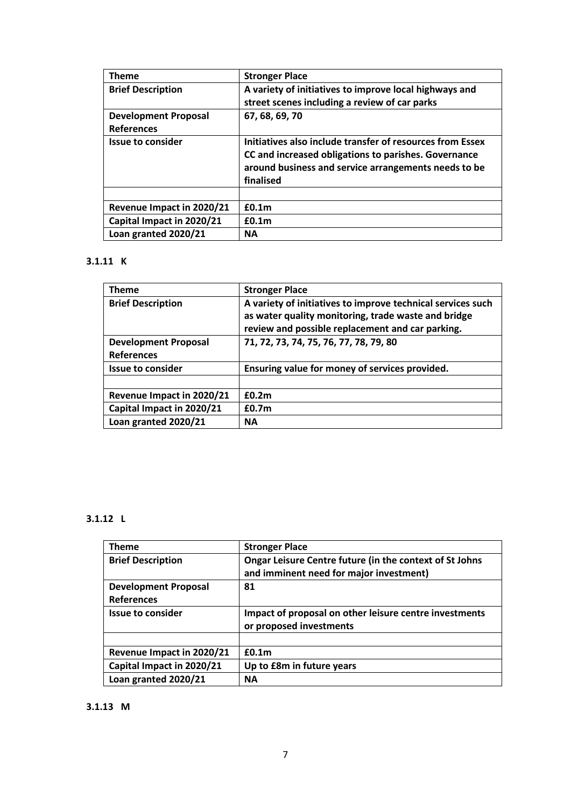| <b>Theme</b>                | <b>Stronger Place</b>                                     |
|-----------------------------|-----------------------------------------------------------|
| <b>Brief Description</b>    | A variety of initiatives to improve local highways and    |
|                             | street scenes including a review of car parks             |
| <b>Development Proposal</b> | 67, 68, 69, 70                                            |
| <b>References</b>           |                                                           |
| <b>Issue to consider</b>    | Initiatives also include transfer of resources from Essex |
|                             | CC and increased obligations to parishes. Governance      |
|                             | around business and service arrangements needs to be      |
|                             | finalised                                                 |
|                             |                                                           |
| Revenue Impact in 2020/21   | £0.1m                                                     |
| Capital Impact in 2020/21   | £0.1 <sub>m</sub>                                         |
| Loan granted 2020/21        | <b>NA</b>                                                 |

# **3.1.11 K**

| <b>Theme</b>                                     | <b>Stronger Place</b>                                                                                                                                                  |
|--------------------------------------------------|------------------------------------------------------------------------------------------------------------------------------------------------------------------------|
| <b>Brief Description</b>                         | A variety of initiatives to improve technical services such<br>as water quality monitoring, trade waste and bridge<br>review and possible replacement and car parking. |
| <b>Development Proposal</b><br><b>References</b> | 71, 72, 73, 74, 75, 76, 77, 78, 79, 80                                                                                                                                 |
| <b>Issue to consider</b>                         | Ensuring value for money of services provided.                                                                                                                         |
|                                                  |                                                                                                                                                                        |
| Revenue Impact in 2020/21                        | £0.2m                                                                                                                                                                  |
| Capital Impact in 2020/21                        | £0.7 <sub>m</sub>                                                                                                                                                      |
| Loan granted 2020/21                             | <b>NA</b>                                                                                                                                                              |

# **3.1.12 L**

| <b>Theme</b>                | <b>Stronger Place</b>                                                                              |
|-----------------------------|----------------------------------------------------------------------------------------------------|
| <b>Brief Description</b>    | Ongar Leisure Centre future (in the context of St Johns<br>and imminent need for major investment) |
|                             |                                                                                                    |
| <b>Development Proposal</b> | 81                                                                                                 |
| <b>References</b>           |                                                                                                    |
| Issue to consider           | Impact of proposal on other leisure centre investments                                             |
|                             | or proposed investments                                                                            |
|                             |                                                                                                    |
| Revenue Impact in 2020/21   | £0.1 <sub>m</sub>                                                                                  |
| Capital Impact in 2020/21   | Up to £8m in future years                                                                          |
| Loan granted 2020/21        | <b>NA</b>                                                                                          |

#### **3.1.13 M**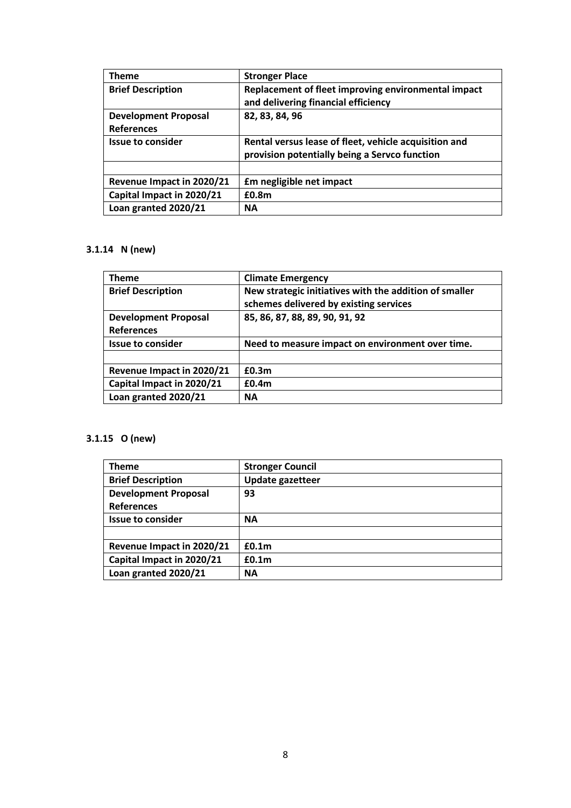| <b>Theme</b>                | <b>Stronger Place</b>                                 |  |
|-----------------------------|-------------------------------------------------------|--|
| <b>Brief Description</b>    | Replacement of fleet improving environmental impact   |  |
|                             | and delivering financial efficiency                   |  |
| <b>Development Proposal</b> | 82, 83, 84, 96                                        |  |
| <b>References</b>           |                                                       |  |
| <b>Issue to consider</b>    | Rental versus lease of fleet, vehicle acquisition and |  |
|                             | provision potentially being a Servco function         |  |
|                             |                                                       |  |
| Revenue Impact in 2020/21   | <b>£m</b> negligible net impact                       |  |
| Capital Impact in 2020/21   | £0.8m                                                 |  |
| Loan granted 2020/21        | <b>NA</b>                                             |  |

# **3.1.14 N (new)**

| <b>Theme</b>                | <b>Climate Emergency</b>                               |  |
|-----------------------------|--------------------------------------------------------|--|
| <b>Brief Description</b>    | New strategic initiatives with the addition of smaller |  |
|                             | schemes delivered by existing services                 |  |
| <b>Development Proposal</b> | 85, 86, 87, 88, 89, 90, 91, 92                         |  |
| <b>References</b>           |                                                        |  |
| <b>Issue to consider</b>    | Need to measure impact on environment over time.       |  |
|                             |                                                        |  |
| Revenue Impact in 2020/21   | £0.3m                                                  |  |
| Capital Impact in 2020/21   | £0.4 <sub>m</sub>                                      |  |
| Loan granted 2020/21        | <b>NA</b>                                              |  |
|                             |                                                        |  |

# **3.1.15 O (new)**

| <b>Theme</b>                | <b>Stronger Council</b> |
|-----------------------------|-------------------------|
| <b>Brief Description</b>    | <b>Update gazetteer</b> |
| <b>Development Proposal</b> | 93                      |
| <b>References</b>           |                         |
| <b>Issue to consider</b>    | <b>NA</b>               |
|                             |                         |
| Revenue Impact in 2020/21   | £0.1 <sub>m</sub>       |
| Capital Impact in 2020/21   | £0.1 <sub>m</sub>       |
| Loan granted 2020/21        | <b>NA</b>               |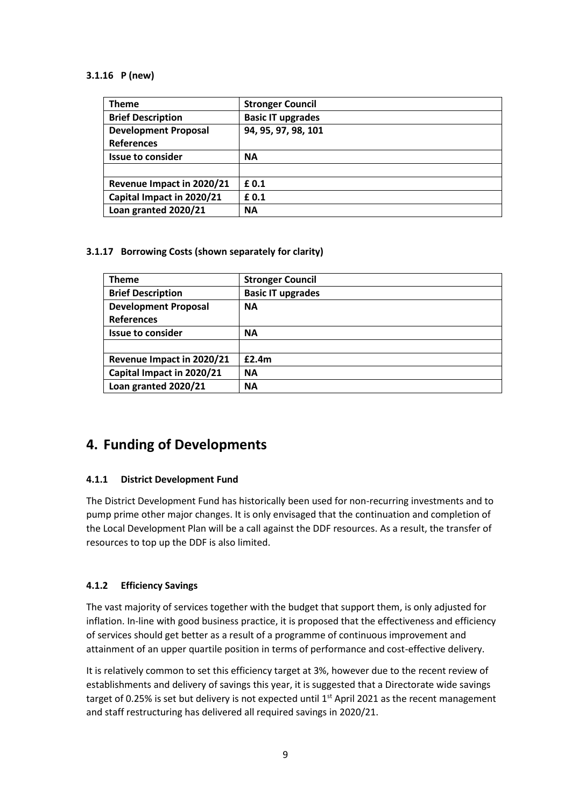#### **3.1.16 P (new)**

| <b>Theme</b>                | <b>Stronger Council</b>  |
|-----------------------------|--------------------------|
| <b>Brief Description</b>    | <b>Basic IT upgrades</b> |
| <b>Development Proposal</b> | 94, 95, 97, 98, 101      |
| <b>References</b>           |                          |
| <b>Issue to consider</b>    | <b>NA</b>                |
|                             |                          |
| Revenue Impact in 2020/21   | £ 0.1                    |
| Capital Impact in 2020/21   | £0.1                     |
| Loan granted 2020/21        | <b>NA</b>                |

#### **3.1.17 Borrowing Costs (shown separately for clarity)**

| <b>Theme</b>                | <b>Stronger Council</b>  |
|-----------------------------|--------------------------|
| <b>Brief Description</b>    | <b>Basic IT upgrades</b> |
| <b>Development Proposal</b> | <b>NA</b>                |
| <b>References</b>           |                          |
| <b>Issue to consider</b>    | <b>NA</b>                |
|                             |                          |
| Revenue Impact in 2020/21   | £2.4m                    |
| Capital Impact in 2020/21   | <b>NA</b>                |
| Loan granted 2020/21        | <b>NA</b>                |

# **4. Funding of Developments**

#### **4.1.1 District Development Fund**

The District Development Fund has historically been used for non-recurring investments and to pump prime other major changes. It is only envisaged that the continuation and completion of the Local Development Plan will be a call against the DDF resources. As a result, the transfer of resources to top up the DDF is also limited.

#### **4.1.2 Efficiency Savings**

The vast majority of services together with the budget that support them, is only adjusted for inflation. In-line with good business practice, it is proposed that the effectiveness and efficiency of services should get better as a result of a programme of continuous improvement and attainment of an upper quartile position in terms of performance and cost-effective delivery.

It is relatively common to set this efficiency target at 3%, however due to the recent review of establishments and delivery of savings this year, it is suggested that a Directorate wide savings target of 0.25% is set but delivery is not expected until 1<sup>st</sup> April 2021 as the recent management and staff restructuring has delivered all required savings in 2020/21.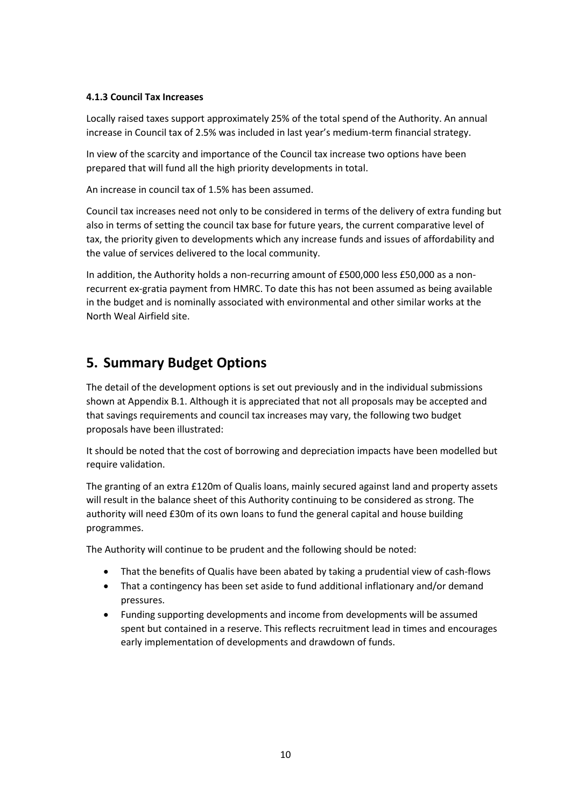#### **4.1.3 Council Tax Increases**

Locally raised taxes support approximately 25% of the total spend of the Authority. An annual increase in Council tax of 2.5% was included in last year's medium-term financial strategy.

In view of the scarcity and importance of the Council tax increase two options have been prepared that will fund all the high priority developments in total.

An increase in council tax of 1.5% has been assumed.

Council tax increases need not only to be considered in terms of the delivery of extra funding but also in terms of setting the council tax base for future years, the current comparative level of tax, the priority given to developments which any increase funds and issues of affordability and the value of services delivered to the local community.

In addition, the Authority holds a non-recurring amount of £500,000 less £50,000 as a nonrecurrent ex-gratia payment from HMRC. To date this has not been assumed as being available in the budget and is nominally associated with environmental and other similar works at the North Weal Airfield site.

# **5. Summary Budget Options**

The detail of the development options is set out previously and in the individual submissions shown at Appendix B.1. Although it is appreciated that not all proposals may be accepted and that savings requirements and council tax increases may vary, the following two budget proposals have been illustrated:

It should be noted that the cost of borrowing and depreciation impacts have been modelled but require validation.

The granting of an extra £120m of Qualis loans, mainly secured against land and property assets will result in the balance sheet of this Authority continuing to be considered as strong. The authority will need £30m of its own loans to fund the general capital and house building programmes.

The Authority will continue to be prudent and the following should be noted:

- That the benefits of Qualis have been abated by taking a prudential view of cash-flows
- That a contingency has been set aside to fund additional inflationary and/or demand pressures.
- Funding supporting developments and income from developments will be assumed spent but contained in a reserve. This reflects recruitment lead in times and encourages early implementation of developments and drawdown of funds.